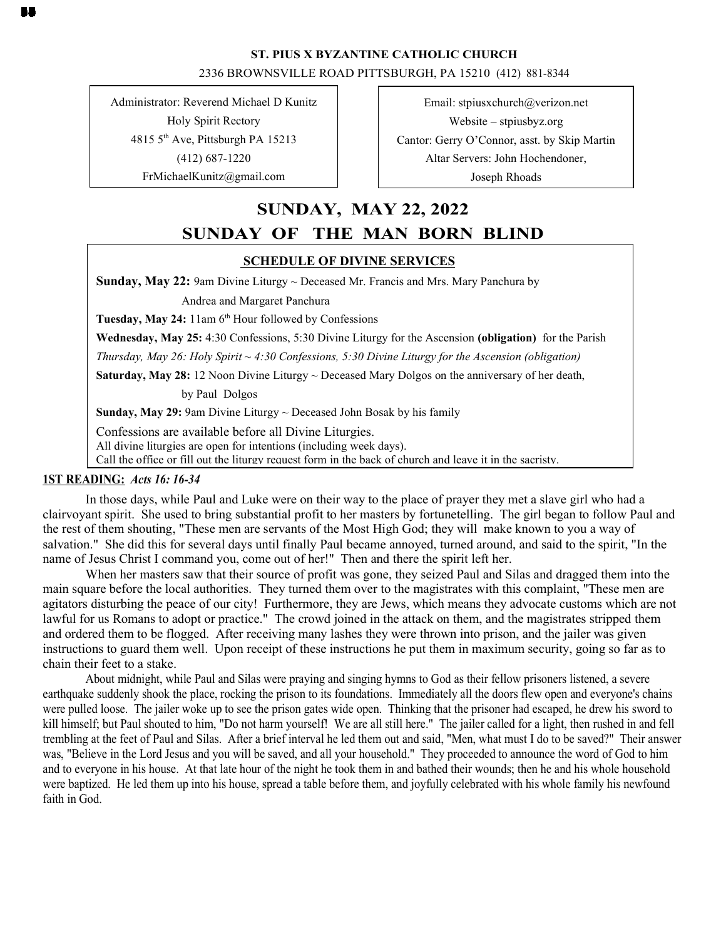## ST. PIUS X BYZANTINE CATHOLIC CHURCH 2336 BROWNSVILLE ROAD PITTSBURGH, PA 15210 (412) 881-8344

Administrator: Reverend Michael D Kunitz Holy Spirit Rectory 4815 5th Ave, Pittsburgh PA 15213 (412) 687-1220 FrMichaelKunitz@gmail.com

Email: stpiusxchurch@verizon.net Website – stpiusbyz.org Cantor: Gerry O'Connor, asst. by Skip Martin Altar Servers: John Hochendoner, Joseph Rhoads

# SUNDAY, MAY 22, 2022 SUNDAY OF THE MAN BORN BLIND

# SCHEDULE OF DIVINE SERVICES **Sunday, May 22:** 9am Divine Liturgy  $\sim$  Deceased Mr. Francis and Mrs. Mary Panchura by Andrea and Margaret Panchura Tuesday, May 24:  $11$ am  $6<sup>th</sup>$  Hour followed by Confessions Wednesday, May 25: 4:30 Confessions, 5:30 Divine Liturgy for the Ascension (obligation) for the Parish Thursday, May 26: Holy Spirit  $\sim 4:30$  Confessions, 5:30 Divine Liturgy for the Ascension (obligation) **Saturday, May 28:** 12 Noon Divine Liturgy  $\sim$  Deceased Mary Dolgos on the anniversary of her death, by Paul Dolgos **Sunday, May 29:** 9am Divine Liturgy  $\sim$  Deceased John Bosak by his family Confessions are available before all Divine Liturgies. All divine liturgies are open for intentions (including week days). Call the office or fill out the liturgy request form in the back of church and leave it in the sacristy.

#### 1ST READING: Acts 16: 16-34

In those days, while Paul and Luke were on their way to the place of prayer they met a slave girl who had a clairvoyant spirit. She used to bring substantial profit to her masters by fortunetelling. The girl began to follow Paul and the rest of them shouting, "These men are servants of the Most High God; they will make known to you a way of salvation." She did this for several days until finally Paul became annoyed, turned around, and said to the spirit, "In the name of Jesus Christ I command you, come out of her!" Then and there the spirit left her.

When her masters saw that their source of profit was gone, they seized Paul and Silas and dragged them into the main square before the local authorities. They turned them over to the magistrates with this complaint, "These men are agitators disturbing the peace of our city! Furthermore, they are Jews, which means they advocate customs which are not lawful for us Romans to adopt or practice." The crowd joined in the attack on them, and the magistrates stripped them and ordered them to be flogged. After receiving many lashes they were thrown into prison, and the jailer was given instructions to guard them well. Upon receipt of these instructions he put them in maximum security, going so far as to chain their feet to a stake.

About midnight, while Paul and Silas were praying and singing hymns to God as their fellow prisoners listened, a severe earthquake suddenly shook the place, rocking the prison to its foundations. Immediately all the doors flew open and everyone's chains were pulled loose. The jailer woke up to see the prison gates wide open. Thinking that the prisoner had escaped, he drew his sword to kill himself; but Paul shouted to him, "Do not harm yourself! We are all still here." The jailer called for a light, then rushed in and fell trembling at the feet of Paul and Silas. After a brief interval he led them out and said, "Men, what must I do to be saved?" Their answer was, "Believe in the Lord Jesus and you will be saved, and all your household." They proceeded to announce the word of God to him and to everyone in his house. At that late hour of the night he took them in and bathed their wounds; then he and his whole household were baptized. He led them up into his house, spread a table before them, and joyfully celebrated with his whole family his newfound faith in God.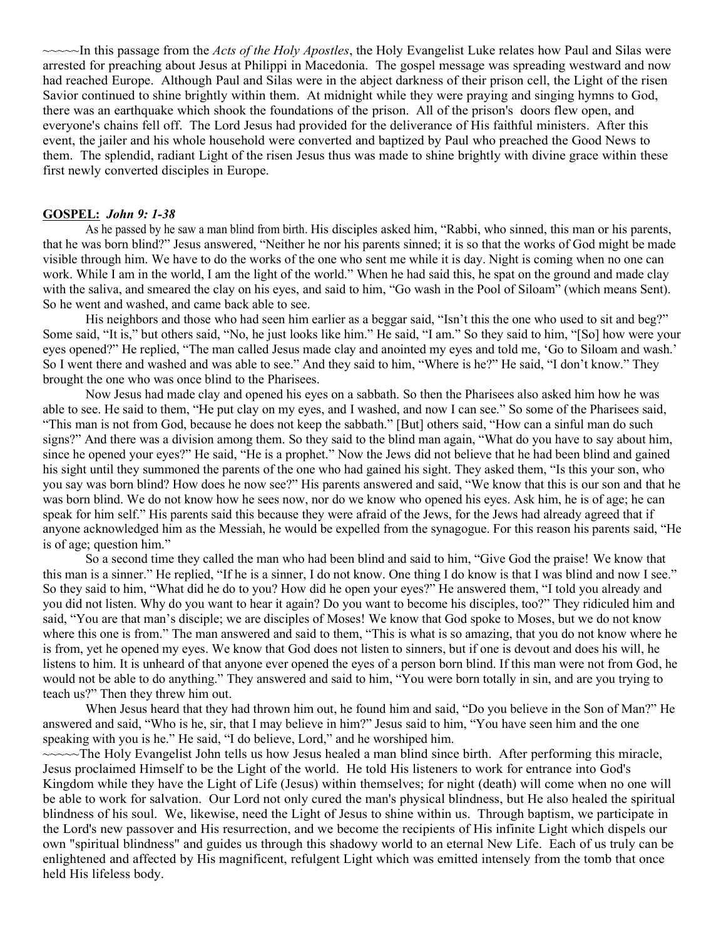$\sim\sim\sim\sim$ In this passage from the Acts of the Holy Apostles, the Holy Evangelist Luke relates how Paul and Silas were arrested for preaching about Jesus at Philippi in Macedonia. The gospel message was spreading westward and now had reached Europe. Although Paul and Silas were in the abject darkness of their prison cell, the Light of the risen Savior continued to shine brightly within them. At midnight while they were praying and singing hymns to God, there was an earthquake which shook the foundations of the prison. All of the prison's doors flew open, and everyone's chains fell off. The Lord Jesus had provided for the deliverance of His faithful ministers. After this event, the jailer and his whole household were converted and baptized by Paul who preached the Good News to them. The splendid, radiant Light of the risen Jesus thus was made to shine brightly with divine grace within these first newly converted disciples in Europe.

#### GOSPEL: John 9: 1-38

As he passed by he saw a man blind from birth. His disciples asked him, "Rabbi, who sinned, this man or his parents, that he was born blind?" Jesus answered, "Neither he nor his parents sinned; it is so that the works of God might be made visible through him. We have to do the works of the one who sent me while it is day. Night is coming when no one can work. While I am in the world, I am the light of the world." When he had said this, he spat on the ground and made clay with the saliva, and smeared the clay on his eyes, and said to him, "Go wash in the Pool of Siloam" (which means Sent). So he went and washed, and came back able to see.

His neighbors and those who had seen him earlier as a beggar said, "Isn't this the one who used to sit and beg?" Some said, "It is," but others said, "No, he just looks like him." He said, "I am." So they said to him, "[So] how were your eyes opened?" He replied, "The man called Jesus made clay and anointed my eyes and told me, 'Go to Siloam and wash.' So I went there and washed and was able to see." And they said to him, "Where is he?" He said, "I don't know." They brought the one who was once blind to the Pharisees.

Now Jesus had made clay and opened his eyes on a sabbath. So then the Pharisees also asked him how he was able to see. He said to them, "He put clay on my eyes, and I washed, and now I can see." So some of the Pharisees said, "This man is not from God, because he does not keep the sabbath." [But] others said, "How can a sinful man do such signs?" And there was a division among them. So they said to the blind man again, "What do you have to say about him, since he opened your eyes?" He said, "He is a prophet." Now the Jews did not believe that he had been blind and gained his sight until they summoned the parents of the one who had gained his sight. They asked them, "Is this your son, who you say was born blind? How does he now see?" His parents answered and said, "We know that this is our son and that he was born blind. We do not know how he sees now, nor do we know who opened his eyes. Ask him, he is of age; he can speak for him self." His parents said this because they were afraid of the Jews, for the Jews had already agreed that if anyone acknowledged him as the Messiah, he would be expelled from the synagogue. For this reason his parents said, "He is of age; question him."

So a second time they called the man who had been blind and said to him, "Give God the praise! We know that this man is a sinner." He replied, "If he is a sinner, I do not know. One thing I do know is that I was blind and now I see." So they said to him, "What did he do to you? How did he open your eyes?" He answered them, "I told you already and you did not listen. Why do you want to hear it again? Do you want to become his disciples, too?" They ridiculed him and said, "You are that man's disciple; we are disciples of Moses! We know that God spoke to Moses, but we do not know where this one is from." The man answered and said to them, "This is what is so amazing, that you do not know where he is from, yet he opened my eyes. We know that God does not listen to sinners, but if one is devout and does his will, he listens to him. It is unheard of that anyone ever opened the eyes of a person born blind. If this man were not from God, he would not be able to do anything." They answered and said to him, "You were born totally in sin, and are you trying to teach us?" Then they threw him out.

When Jesus heard that they had thrown him out, he found him and said, "Do you believe in the Son of Man?" He answered and said, "Who is he, sir, that I may believe in him?" Jesus said to him, "You have seen him and the one speaking with you is he." He said, "I do believe, Lord," and he worshiped him.

 $\sim$  The Holy Evangelist John tells us how Jesus healed a man blind since birth. After performing this miracle, Jesus proclaimed Himself to be the Light of the world. He told His listeners to work for entrance into God's Kingdom while they have the Light of Life (Jesus) within themselves; for night (death) will come when no one will be able to work for salvation. Our Lord not only cured the man's physical blindness, but He also healed the spiritual blindness of his soul. We, likewise, need the Light of Jesus to shine within us. Through baptism, we participate in the Lord's new passover and His resurrection, and we become the recipients of His infinite Light which dispels our own "spiritual blindness" and guides us through this shadowy world to an eternal New Life. Each of us truly can be enlightened and affected by His magnificent, refulgent Light which was emitted intensely from the tomb that once held His lifeless body.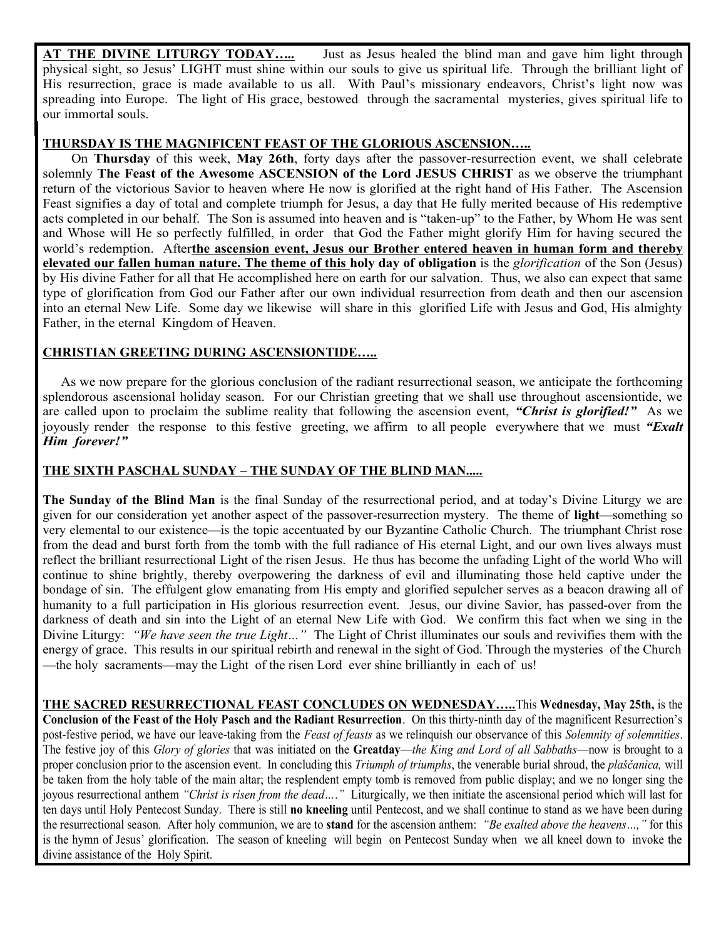**AT THE DIVINE LITURGY TODAY.....** Just as Jesus healed the blind man and gave him light through physical sight, so Jesus' LIGHT must shine within our souls to give us spiritual life. Through the brilliant light of **AT THE DIVINE LITURGY TODAY.....** Just as Jesus healed the blind man and gave him light through physical sight, so Jesus' LIGHT must shine within our souls to give us spiritual life. Through the brilliant light of His res spreading into Europe. The light of His grace, bestowed through the sacramental mysteries, gives spiritual life to our immortal souls.

#### THURSDAY IS THE MAGNIFICENT FEAST OF THE GLORIOUS ASCENSION…..

**AT THE DIVINE LITURGY TODAY.....** Just as Jesus healed the blind man and gave him light through<br>physical sight, so Jesus' LIGHT must shine within our souls to give us spiritual life. Through the brilliant light of<br>His res solemnly The Feast of the Awesome ASCENSION of the Lord JESUS CHRIST as we observe the triumphant return of the victorious Savior to heaven where He now is glorified at the right hand of His Father. The Ascension Feast signifies a day of total and complete triumph for Jesus, a day that He fully merited because of His redemptive acts completed in our behalf. The Son is assumed into heaven and is "taken-up" to the Father, by Whom He was sent and Whose will He so perfectly fulfilled, in order that God the Father might glorify Him for having secured the world's redemption. Afterthe ascension event, Jesus our Brother entered heaven in human form and thereby elevated our fallen human nature. The theme of this holy day of obligation is the *glorification* of the Son (Jesus) by His divine Father for all that He accomplished here on earth for our salvation. Thus, we also can expect that same type of glorification from God our Father after our own individual resurrection from death and then our ascension into an eternal New Life. Some day we likewise will share in this glorified Life with Jesus and God, His almighty Father, in the eternal Kingdom of Heaven. our immortal souls.<br>
THURSDAY IS THE MACNIFICENT FEAST OF THE GLORIOUS ASCENSION....<br>
University of this week, May 26th, forty days after the passover-resurrection event, we shall celebrate<br>
solemnly The Feast of the Aweso

#### CHRISTIAN GREETING DURING ASCENSIONTIDE…..

 As we now prepare for the glorious conclusion of the radiant resurrectional season, we anticipate the forthcoming splendorous ascensional holiday season. For our Christian greeting that we shall use throughout ascensiontide, we joyously render the response to this festive greeting, we affirm to all people everywhere that we must "Exalt Him forever!"

#### THE SIXTH PASCHAL SUNDAY – THE SUNDAY OF THE BLIND MAN.....

The Sunday of the Blind Man is the final Sunday of the resurrectional period, and at today's Divine Liturgy we are given for our consideration yet another aspect of the passover-resurrection mystery. The theme of light—something so very elemental to our existence—is the topic accentuated by our Byzantine Catholic Church. The triumphant Christ rose from the dead and burst forth from the tomb with the full radiance of His eternal Light, and our own lives always must reflect the brilliant resurrectional Light of the risen Jesus. He thus has become the unfading Light of the world Who will continue to shine brightly, thereby overpowering the darkness of evil and illuminating those held captive under the bondage of sin. The effulgent glow emanating from His empty and glorified sepulcher serves as a beacon drawing all of humanity to a full participation in His glorious resurrection event. Jesus, our divine Savior, has passed-over from the darkness of death and sin into the Light of an eternal New Life with God. We confirm this fact when we sing in the Divine Liturgy: "We have seen the true Light..." The Light of Christ illuminates our souls and revivifies them with the energy of grace. This results in our spiritual rebirth and renewal in the sight of God. Through the mysteries of the Church —the holy sacraments—may the Light of the risen Lord ever shine brilliantly in each of us!

THE SACRED RESURRECTIONAL FEAST CONCLUDES ON WEDNESDAY…..This Wednesday, May 25th, is the Conclusion of the Feast of the Holy Pasch and the Radiant Resurrection. On this thirty-ninth day of the magnificent Resurrection's post-festive period, we have our leave-taking from the Feast of feasts as we relinquish our observance of this Solemnity of solemnities. The festive joy of this Glory of glories that was initiated on the Greatday—the King and Lord of all Sabbaths—now is brought to a proper conclusion prior to the ascension event. In concluding this Triumph of triumphs, the venerable burial shroud, the plaščanica, will be taken from the holy table of the main altar; the resplendent empty tomb is removed from public display; and we no longer sing the joyous resurrectional anthem "Christ is risen from the dead...." Liturgically, we then initiate the ascensional period which will last for ten days until Holy Pentecost Sunday. There is still no kneeling until Pentecost, and we shall continue to stand as we have been during the resurrectional season. After holy communion, we are to **stand** for the ascension anthem: "Be exalted above the heavens...," for this is the hymn of Jesus' glorification. The season of kneeling will begin on Pentecost Sunday when we all kneel down to invoke the divine assistance of the Holy Spirit.